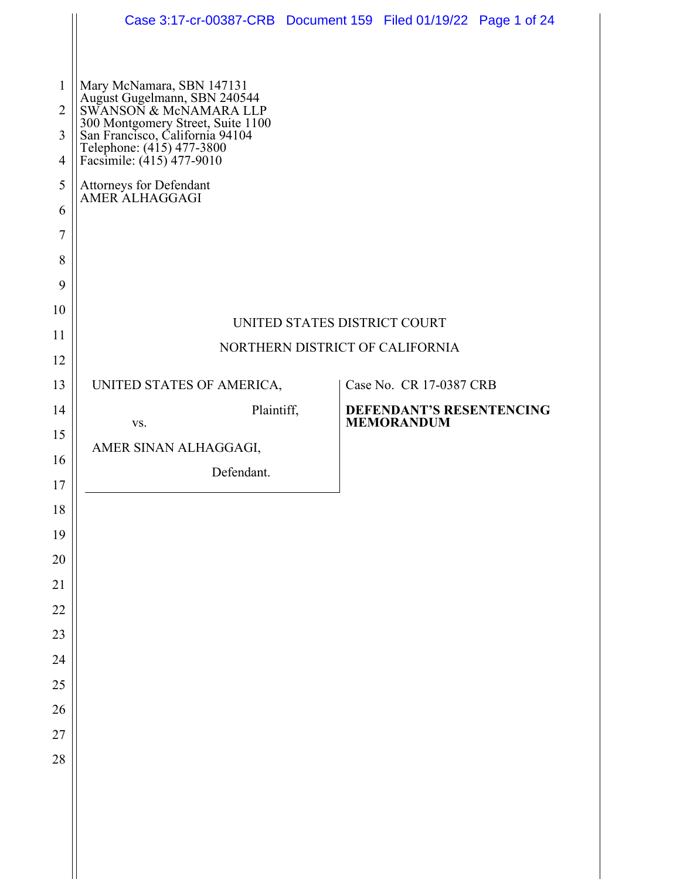|                     | Case 3:17-cr-00387-CRB  Document 159  Filed 01/19/22  Page 1 of 24                                                             |                                                                 |  |                                               |  |  |
|---------------------|--------------------------------------------------------------------------------------------------------------------------------|-----------------------------------------------------------------|--|-----------------------------------------------|--|--|
|                     |                                                                                                                                |                                                                 |  |                                               |  |  |
| 1<br>$\overline{2}$ | Mary McNamara, SBN 147131<br>August Gugelmann, SBN 240544<br>SWANSON & McNAMARA LLP                                            |                                                                 |  |                                               |  |  |
| 3                   |                                                                                                                                |                                                                 |  |                                               |  |  |
| $\overline{4}$      | 300 Montgomery Street, Suite 1100<br>San Francisco, California 94104<br>Telephone: (415) 477-3800<br>Facsimile: (415) 477-9010 |                                                                 |  |                                               |  |  |
| 5                   | Attorneys for Defendant<br>AMER ALHAGGAGI                                                                                      |                                                                 |  |                                               |  |  |
| 6                   |                                                                                                                                |                                                                 |  |                                               |  |  |
| 7                   |                                                                                                                                |                                                                 |  |                                               |  |  |
| 8                   |                                                                                                                                |                                                                 |  |                                               |  |  |
| 9                   |                                                                                                                                |                                                                 |  |                                               |  |  |
| 10                  |                                                                                                                                |                                                                 |  |                                               |  |  |
| 11                  |                                                                                                                                | UNITED STATES DISTRICT COURT<br>NORTHERN DISTRICT OF CALIFORNIA |  |                                               |  |  |
| 12                  |                                                                                                                                |                                                                 |  |                                               |  |  |
| 13                  | UNITED STATES OF AMERICA,                                                                                                      |                                                                 |  | Case No. CR 17-0387 CRB                       |  |  |
| 14                  | Plaintiff,<br>VS.                                                                                                              |                                                                 |  | DEFENDANT'S RESENTENCING<br><b>MEMORANDUM</b> |  |  |
| 15                  | AMER SINAN ALHAGGAGI,                                                                                                          |                                                                 |  |                                               |  |  |
| 16<br>17            | Defendant.                                                                                                                     |                                                                 |  |                                               |  |  |
| 18                  |                                                                                                                                |                                                                 |  |                                               |  |  |
| 19                  |                                                                                                                                |                                                                 |  |                                               |  |  |
| $20\,$              |                                                                                                                                |                                                                 |  |                                               |  |  |
| 21                  |                                                                                                                                |                                                                 |  |                                               |  |  |
| 22                  |                                                                                                                                |                                                                 |  |                                               |  |  |
| 23                  |                                                                                                                                |                                                                 |  |                                               |  |  |
| 24                  |                                                                                                                                |                                                                 |  |                                               |  |  |
| 25                  |                                                                                                                                |                                                                 |  |                                               |  |  |
| 26                  |                                                                                                                                |                                                                 |  |                                               |  |  |
| 27                  |                                                                                                                                |                                                                 |  |                                               |  |  |
| 28                  |                                                                                                                                |                                                                 |  |                                               |  |  |
|                     |                                                                                                                                |                                                                 |  |                                               |  |  |
|                     |                                                                                                                                |                                                                 |  |                                               |  |  |
|                     |                                                                                                                                |                                                                 |  |                                               |  |  |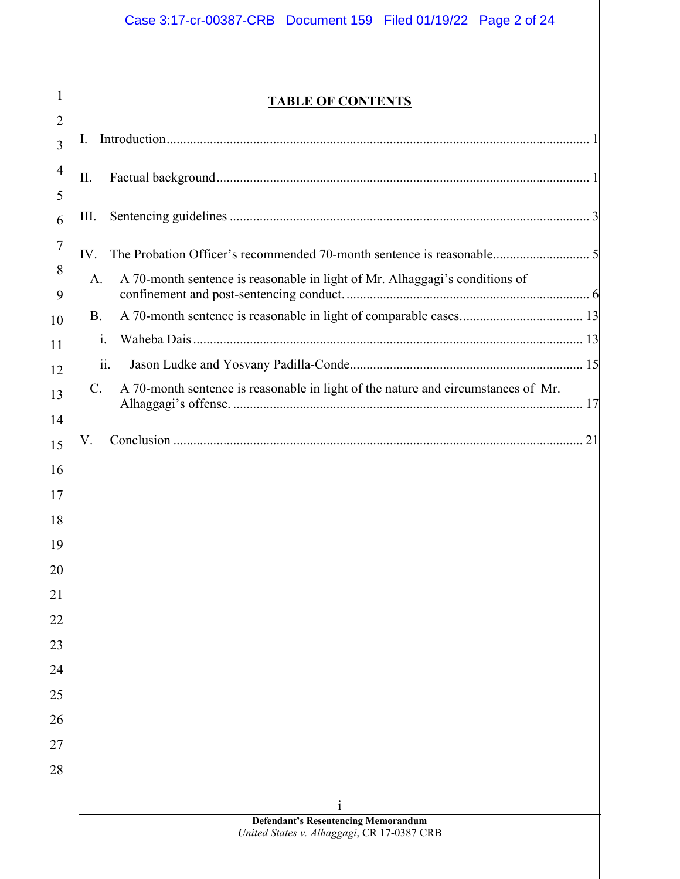## **TABLE OF CONTENTS**

1

 $\parallel$ 

| $\overline{2}$      | I.                                                                                               |
|---------------------|--------------------------------------------------------------------------------------------------|
| 3                   |                                                                                                  |
| $\overline{4}$<br>5 | II.                                                                                              |
| 6                   | Ш.                                                                                               |
| 7                   | IV.                                                                                              |
| 8<br>9              | A 70-month sentence is reasonable in light of Mr. Alhaggagi's conditions of<br>A.                |
| 10                  | <b>B.</b>                                                                                        |
| 11                  | $\mathbf{i}$ .                                                                                   |
| 12                  | $\overline{11}$ .                                                                                |
| 13                  | A 70-month sentence is reasonable in light of the nature and circumstances of Mr.<br>$C_{\cdot}$ |
| 14                  |                                                                                                  |
| 15                  | V.                                                                                               |
| 16                  |                                                                                                  |
| 17                  |                                                                                                  |
| 18                  |                                                                                                  |
| 19                  |                                                                                                  |
| 20                  |                                                                                                  |
| 21                  |                                                                                                  |
| 22                  |                                                                                                  |
| 23                  |                                                                                                  |
| 24                  |                                                                                                  |
| 25                  |                                                                                                  |
| 26                  |                                                                                                  |
| 27                  |                                                                                                  |
| 28                  |                                                                                                  |
|                     |                                                                                                  |
|                     | $\mathbf{i}$                                                                                     |
|                     | <b>Defendant's Resentencing Memorandum</b><br>United States v. Alhaggagi, CR 17-0387 CRB         |
|                     |                                                                                                  |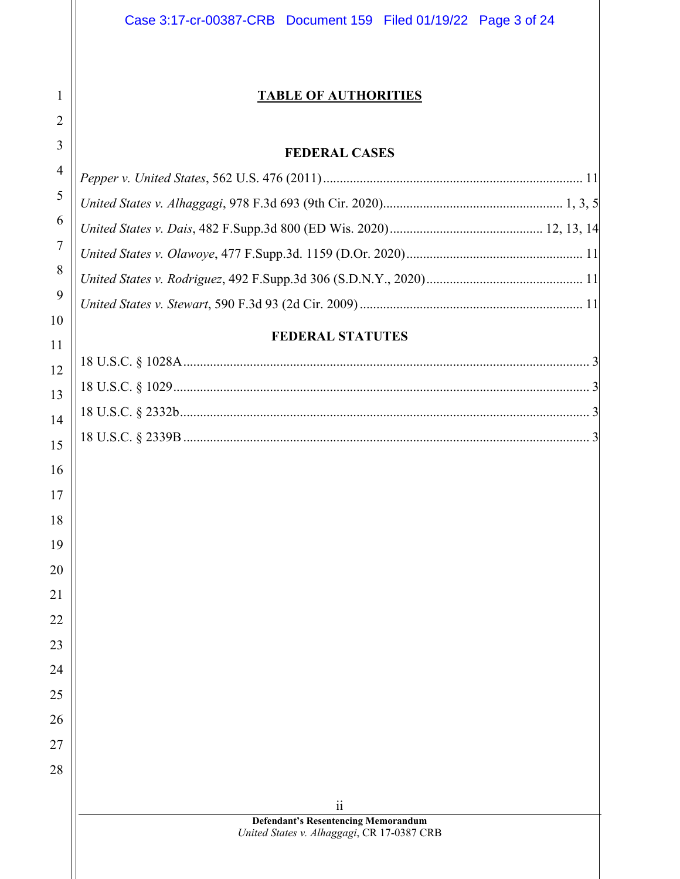### **TABLE OF AUTHORITIES**

#### **FEDERAL CASES**

#### **FEDERAL STATUTES**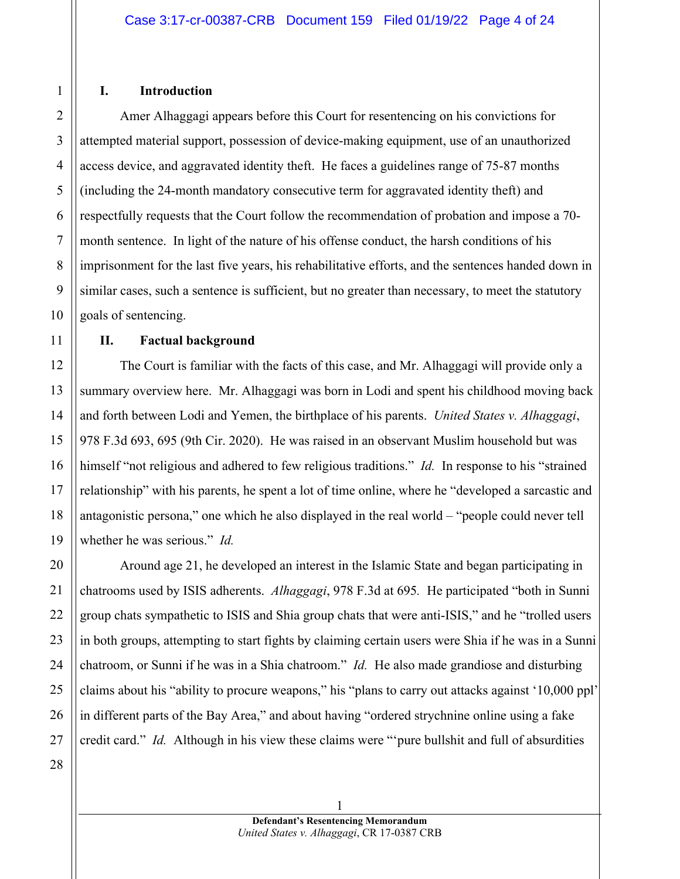#### **I. Introduction**

Amer Alhaggagi appears before this Court for resentencing on his convictions for attempted material support, possession of device-making equipment, use of an unauthorized access device, and aggravated identity theft. He faces a guidelines range of 75-87 months (including the 24-month mandatory consecutive term for aggravated identity theft) and respectfully requests that the Court follow the recommendation of probation and impose a 70 month sentence. In light of the nature of his offense conduct, the harsh conditions of his imprisonment for the last five years, his rehabilitative efforts, and the sentences handed down in similar cases, such a sentence is sufficient, but no greater than necessary, to meet the statutory goals of sentencing.

#### **II. Factual background**

The Court is familiar with the facts of this case, and Mr. Alhaggagi will provide only a summary overview here. Mr. Alhaggagi was born in Lodi and spent his childhood moving back and forth between Lodi and Yemen, the birthplace of his parents. *United States v. Alhaggagi*, 978 F.3d 693, 695 (9th Cir. 2020). He was raised in an observant Muslim household but was himself "not religious and adhered to few religious traditions." *Id.* In response to his "strained relationship" with his parents, he spent a lot of time online, where he "developed a sarcastic and antagonistic persona," one which he also displayed in the real world – "people could never tell whether he was serious." *Id.* 

Around age 21, he developed an interest in the Islamic State and began participating in chatrooms used by ISIS adherents. *Alhaggagi*, 978 F.3d at 695*.* He participated "both in Sunni group chats sympathetic to ISIS and Shia group chats that were anti-ISIS," and he "trolled users in both groups, attempting to start fights by claiming certain users were Shia if he was in a Sunni chatroom, or Sunni if he was in a Shia chatroom." *Id.* He also made grandiose and disturbing claims about his "ability to procure weapons," his "plans to carry out attacks against '10,000 ppl' in different parts of the Bay Area," and about having "ordered strychnine online using a fake credit card." *Id.* Although in his view these claims were "'pure bullshit and full of absurdities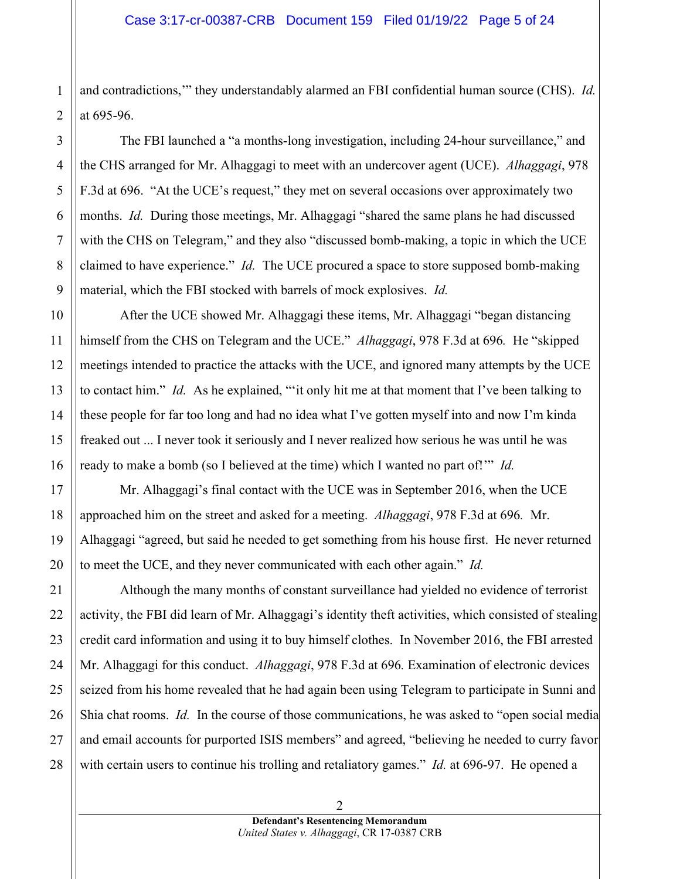1 and contradictions,'" they understandably alarmed an FBI confidential human source (CHS). *Id.* at 695-96.

 The FBI launched a "a months-long investigation, including 24-hour surveillance," and the CHS arranged for Mr. Alhaggagi to meet with an undercover agent (UCE). *Alhaggagi*, 978 F.3d at 696. "At the UCE's request," they met on several occasions over approximately two months. *Id.* During those meetings, Mr. Alhaggagi "shared the same plans he had discussed with the CHS on Telegram," and they also "discussed bomb-making, a topic in which the UCE claimed to have experience." *Id.* The UCE procured a space to store supposed bomb-making material, which the FBI stocked with barrels of mock explosives. *Id.* 

After the UCE showed Mr. Alhaggagi these items, Mr. Alhaggagi "began distancing himself from the CHS on Telegram and the UCE." *Alhaggagi*, 978 F.3d at 696*.* He "skipped meetings intended to practice the attacks with the UCE, and ignored many attempts by the UCE to contact him." *Id.* As he explained, "'it only hit me at that moment that I've been talking to these people for far too long and had no idea what I've gotten myself into and now I'm kinda freaked out ... I never took it seriously and I never realized how serious he was until he was ready to make a bomb (so I believed at the time) which I wanted no part of!'" *Id.* 

Mr. Alhaggagi's final contact with the UCE was in September 2016, when the UCE approached him on the street and asked for a meeting. *Alhaggagi*, 978 F.3d at 696*.* Mr. Alhaggagi "agreed, but said he needed to get something from his house first. He never returned to meet the UCE, and they never communicated with each other again." *Id.* 

 Although the many months of constant surveillance had yielded no evidence of terrorist activity, the FBI did learn of Mr. Alhaggagi's identity theft activities, which consisted of stealing credit card information and using it to buy himself clothes. In November 2016, the FBI arrested Mr. Alhaggagi for this conduct. *Alhaggagi*, 978 F.3d at 696*.* Examination of electronic devices seized from his home revealed that he had again been using Telegram to participate in Sunni and Shia chat rooms. *Id.* In the course of those communications, he was asked to "open social media and email accounts for purported ISIS members" and agreed, "believing he needed to curry favor with certain users to continue his trolling and retaliatory games." *Id.* at 696-97. He opened a

**Defendant's Resentencing Memorandum**  *United States v. Alhaggagi*, CR 17-0387 CRB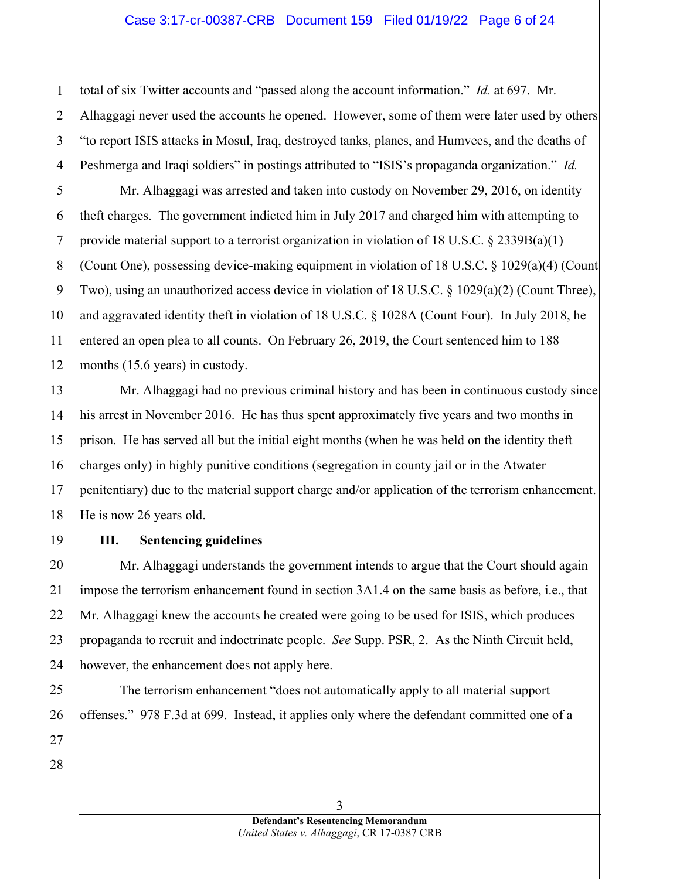#### Case 3:17-cr-00387-CRB Document 159 Filed 01/19/22 Page 6 of 24

total of six Twitter accounts and "passed along the account information." *Id.* at 697. Mr. Alhaggagi never used the accounts he opened. However, some of them were later used by others "to report ISIS attacks in Mosul, Iraq, destroyed tanks, planes, and Humvees, and the deaths of Peshmerga and Iraqi soldiers" in postings attributed to "ISIS's propaganda organization." *Id.* 

Mr. Alhaggagi was arrested and taken into custody on November 29, 2016, on identity theft charges. The government indicted him in July 2017 and charged him with attempting to provide material support to a terrorist organization in violation of 18 U.S.C.  $\S 2339B(a)(1)$ (Count One), possessing device-making equipment in violation of 18 U.S.C. § 1029(a)(4) (Count Two), using an unauthorized access device in violation of 18 U.S.C. § 1029(a)(2) (Count Three), and aggravated identity theft in violation of 18 U.S.C. § 1028A (Count Four). In July 2018, he entered an open plea to all counts. On February 26, 2019, the Court sentenced him to 188 months (15.6 years) in custody.

Mr. Alhaggagi had no previous criminal history and has been in continuous custody since his arrest in November 2016. He has thus spent approximately five years and two months in prison. He has served all but the initial eight months (when he was held on the identity theft charges only) in highly punitive conditions (segregation in county jail or in the Atwater penitentiary) due to the material support charge and/or application of the terrorism enhancement. He is now 26 years old.

#### **III. Sentencing guidelines**

Mr. Alhaggagi understands the government intends to argue that the Court should again impose the terrorism enhancement found in section 3A1.4 on the same basis as before, i.e., that Mr. Alhaggagi knew the accounts he created were going to be used for ISIS, which produces propaganda to recruit and indoctrinate people. *See* Supp. PSR, 2. As the Ninth Circuit held, however, the enhancement does not apply here.

The terrorism enhancement "does not automatically apply to all material support offenses." 978 F.3d at 699. Instead, it applies only where the defendant committed one of a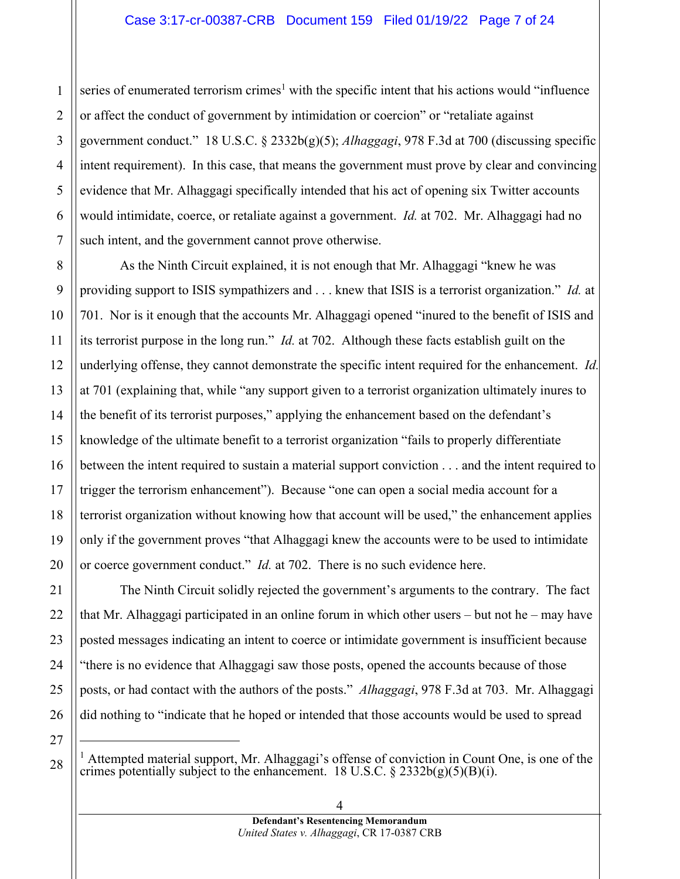1 2 3 4 5 6 7 series of enumerated terrorism crimes<sup>1</sup> with the specific intent that his actions would "influence" or affect the conduct of government by intimidation or coercion" or "retaliate against government conduct." 18 U.S.C. § 2332b(g)(5); *Alhaggagi*, 978 F.3d at 700 (discussing specific intent requirement). In this case, that means the government must prove by clear and convincing evidence that Mr. Alhaggagi specifically intended that his act of opening six Twitter accounts would intimidate, coerce, or retaliate against a government. *Id.* at 702. Mr. Alhaggagi had no such intent, and the government cannot prove otherwise.

8

9

10

11

12

13

14

15

16

17

18

19

20

21

22

23

24

25

26

27

28

As the Ninth Circuit explained, it is not enough that Mr. Alhaggagi "knew he was providing support to ISIS sympathizers and . . . knew that ISIS is a terrorist organization." *Id.* at 701. Nor is it enough that the accounts Mr. Alhaggagi opened "inured to the benefit of ISIS and its terrorist purpose in the long run." *Id.* at 702. Although these facts establish guilt on the underlying offense, they cannot demonstrate the specific intent required for the enhancement. *Id.*  at 701 (explaining that, while "any support given to a terrorist organization ultimately inures to the benefit of its terrorist purposes," applying the enhancement based on the defendant's knowledge of the ultimate benefit to a terrorist organization "fails to properly differentiate between the intent required to sustain a material support conviction . . . and the intent required to trigger the terrorism enhancement"). Because "one can open a social media account for a terrorist organization without knowing how that account will be used," the enhancement applies only if the government proves "that Alhaggagi knew the accounts were to be used to intimidate or coerce government conduct." *Id.* at 702. There is no such evidence here.

The Ninth Circuit solidly rejected the government's arguments to the contrary. The fact that Mr. Alhaggagi participated in an online forum in which other users – but not he – may have posted messages indicating an intent to coerce or intimidate government is insufficient because "there is no evidence that Alhaggagi saw those posts, opened the accounts because of those posts, or had contact with the authors of the posts." *Alhaggagi*, 978 F.3d at 703. Mr. Alhaggagi did nothing to "indicate that he hoped or intended that those accounts would be used to spread

<sup>&</sup>lt;sup>1</sup> Attempted material support, Mr. Alhaggagi's offense of conviction in Count One, is one of the crimes potentially subject to the enhancement. 18 U.S.C.  $\S 2332b(g)(5)(B)(i)$ .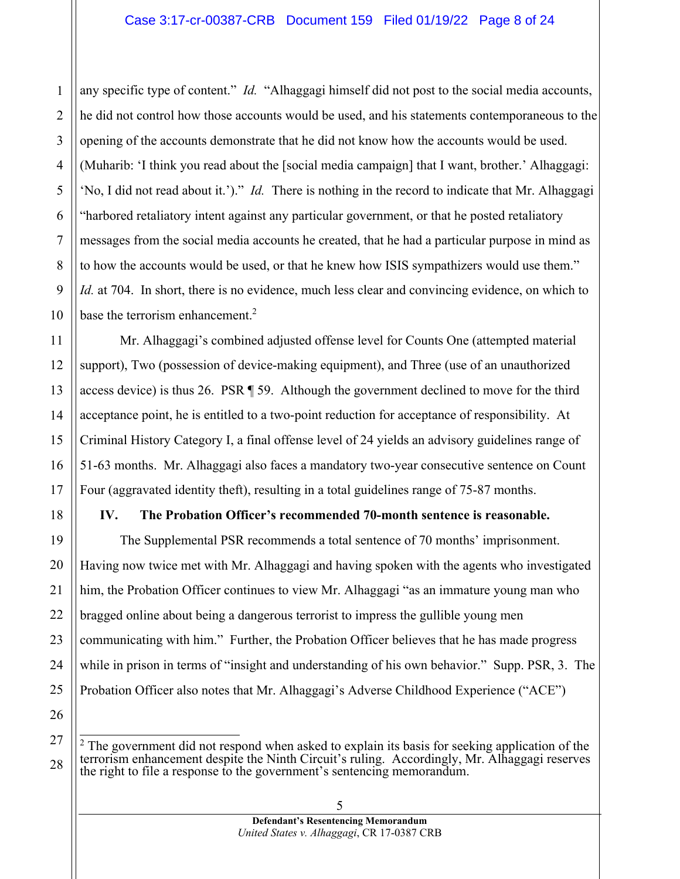#### Case 3:17-cr-00387-CRB Document 159 Filed 01/19/22 Page 8 of 24

any specific type of content." *Id.* "Alhaggagi himself did not post to the social media accounts, he did not control how those accounts would be used, and his statements contemporaneous to the opening of the accounts demonstrate that he did not know how the accounts would be used. (Muharib: 'I think you read about the [social media campaign] that I want, brother.' Alhaggagi: 'No, I did not read about it.')." *Id.* There is nothing in the record to indicate that Mr. Alhaggagi "harbored retaliatory intent against any particular government, or that he posted retaliatory messages from the social media accounts he created, that he had a particular purpose in mind as to how the accounts would be used, or that he knew how ISIS sympathizers would use them." *Id.* at 704. In short, there is no evidence, much less clear and convincing evidence, on which to base the terrorism enhancement.<sup>2</sup>

Mr. Alhaggagi's combined adjusted offense level for Counts One (attempted material support), Two (possession of device-making equipment), and Three (use of an unauthorized access device) is thus 26. PSR ¶ 59. Although the government declined to move for the third acceptance point, he is entitled to a two-point reduction for acceptance of responsibility. At Criminal History Category I, a final offense level of 24 yields an advisory guidelines range of 51-63 months. Mr. Alhaggagi also faces a mandatory two-year consecutive sentence on Count Four (aggravated identity theft), resulting in a total guidelines range of 75-87 months.

#### **IV. The Probation Officer's recommended 70-month sentence is reasonable.**

The Supplemental PSR recommends a total sentence of 70 months' imprisonment. Having now twice met with Mr. Alhaggagi and having spoken with the agents who investigated him, the Probation Officer continues to view Mr. Alhaggagi "as an immature young man who bragged online about being a dangerous terrorist to impress the gullible young men communicating with him." Further, the Probation Officer believes that he has made progress while in prison in terms of "insight and understanding of his own behavior." Supp. PSR, 3. The Probation Officer also notes that Mr. Alhaggagi's Adverse Childhood Experience ("ACE")

 $2$  The government did not respond when asked to explain its basis for seeking application of the terrorism enhancement despite the Ninth Circuit's ruling. Accordingly, Mr. Alhaggagi reserves the right to file a response to the government's sentencing memorandum.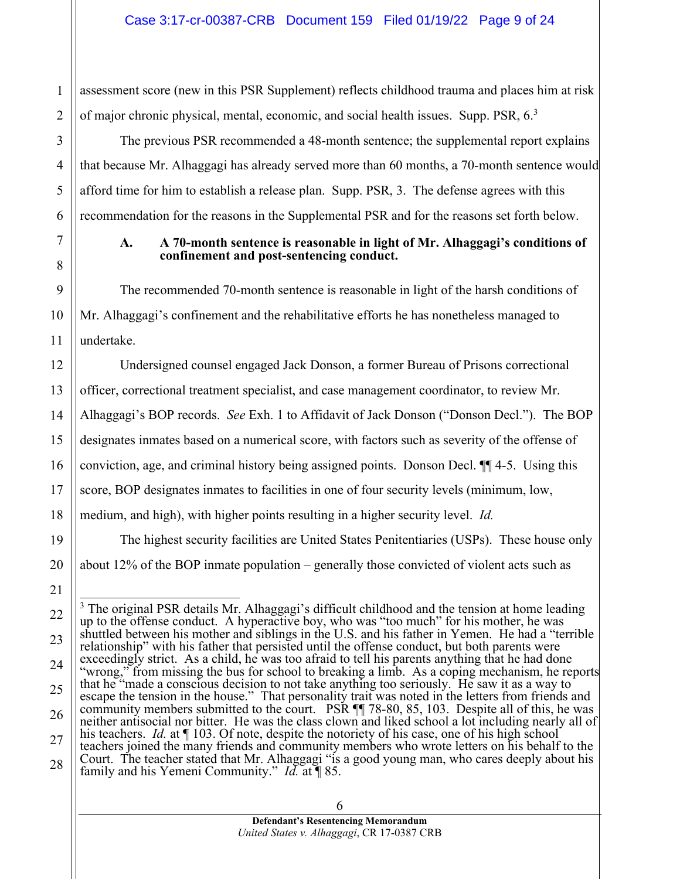assessment score (new in this PSR Supplement) reflects childhood trauma and places him at risk of major chronic physical, mental, economic, and social health issues. Supp. PSR,  $6<sup>3</sup>$ 

The previous PSR recommended a 48-month sentence; the supplemental report explains that because Mr. Alhaggagi has already served more than 60 months, a 70-month sentence would afford time for him to establish a release plan. Supp. PSR, 3. The defense agrees with this recommendation for the reasons in the Supplemental PSR and for the reasons set forth below.

#### **A. A 70-month sentence is reasonable in light of Mr. Alhaggagi's conditions of confinement and post-sentencing conduct.**

The recommended 70-month sentence is reasonable in light of the harsh conditions of Mr. Alhaggagi's confinement and the rehabilitative efforts he has nonetheless managed to undertake.

Undersigned counsel engaged Jack Donson, a former Bureau of Prisons correctional officer, correctional treatment specialist, and case management coordinator, to review Mr. Alhaggagi's BOP records. *See* Exh. 1 to Affidavit of Jack Donson ("Donson Decl."). The BOP designates inmates based on a numerical score, with factors such as severity of the offense of conviction, age, and criminal history being assigned points. Donson Decl. ¶¶ 4-5. Using this score, BOP designates inmates to facilities in one of four security levels (minimum, low, medium, and high), with higher points resulting in a higher security level. *Id.* 

The highest security facilities are United States Penitentiaries (USPs). These house only about 12% of the BOP inmate population – generally those convicted of violent acts such as

 $3$  The original PSR details Mr. Alhaggagi's difficult childhood and the tension at home leading up to the offense conduct. A hyperactive boy, who was "too much" for his mother, he was shuttled between his mother and siblings in the U.S. and his father in Yemen. He had a "terrible relationship" with his father that persisted until the offense conduct, but both parents were exceedingly strict. As a child, he was too afraid to tell his parents anything that he had done "wrong," from missing the bus for school to breaking a limb. As a coping mechanism, he reports that he "made a conscious decision to not take anything too seriously. He saw it as a way to escape the tension in the house." That personality trait was noted in the letters from friends and community members submitted to the court. PSR  $\P$  78-80, 85, 103. Despite all of this, he was neither antisocial nor bitter. He was the class clown and liked school a lot including nearly all of his teachers. *Id.* at  $\P$  103. Of note, despite the notoriety of his case, one of his high school teachers joined the many friends and community members who wrote letters on his behalf to the Court. The teacher stated that Mr. Alhaggagi "is a good young man, who cares deeply about his family and his Yemeni Community." *Id.* at ¶ 85.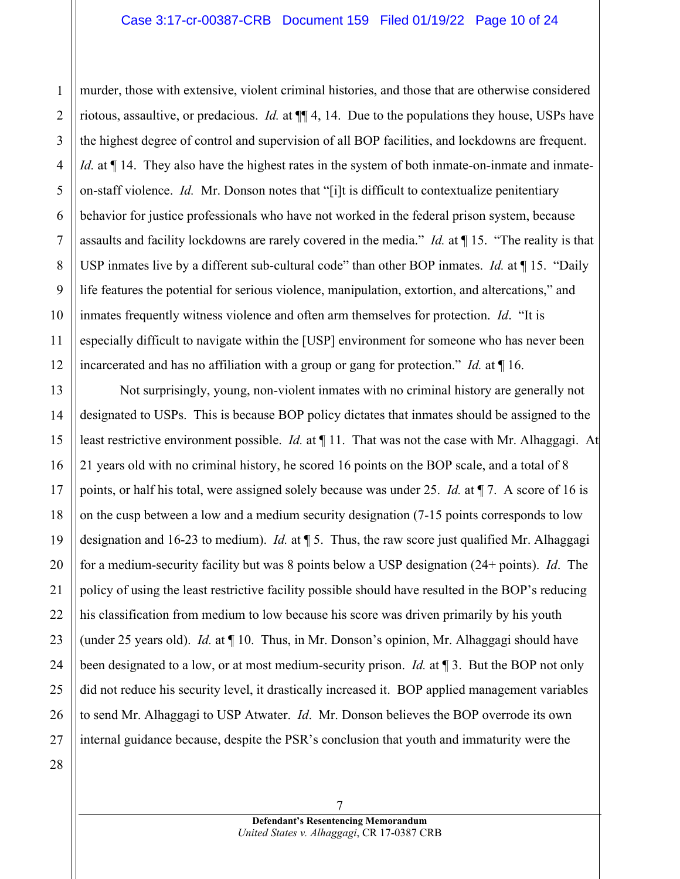murder, those with extensive, violent criminal histories, and those that are otherwise considered riotous, assaultive, or predacious. *Id.* at ¶¶ 4, 14. Due to the populations they house, USPs have the highest degree of control and supervision of all BOP facilities, and lockdowns are frequent. *Id.* at  $\P$  14. They also have the highest rates in the system of both inmate-on-inmate and inmateon-staff violence. *Id.* Mr. Donson notes that "[i]t is difficult to contextualize penitentiary behavior for justice professionals who have not worked in the federal prison system, because assaults and facility lockdowns are rarely covered in the media." *Id.* at ¶ 15. "The reality is that USP inmates live by a different sub-cultural code" than other BOP inmates. *Id.* at ¶ 15. "Daily life features the potential for serious violence, manipulation, extortion, and altercations," and inmates frequently witness violence and often arm themselves for protection. *Id*. "It is especially difficult to navigate within the [USP] environment for someone who has never been incarcerated and has no affiliation with a group or gang for protection." *Id.* at ¶ 16.

Not surprisingly, young, non-violent inmates with no criminal history are generally not designated to USPs. This is because BOP policy dictates that inmates should be assigned to the least restrictive environment possible. *Id.* at  $\P$  11. That was not the case with Mr. Alhaggagi. At 21 years old with no criminal history, he scored 16 points on the BOP scale, and a total of 8 points, or half his total, were assigned solely because was under 25. *Id.* at ¶ 7. A score of 16 is on the cusp between a low and a medium security designation (7-15 points corresponds to low designation and 16-23 to medium). *Id.* at ¶ 5. Thus, the raw score just qualified Mr. Alhaggagi for a medium-security facility but was 8 points below a USP designation (24+ points). *Id*. The policy of using the least restrictive facility possible should have resulted in the BOP's reducing his classification from medium to low because his score was driven primarily by his youth (under 25 years old). *Id.* at ¶ 10. Thus, in Mr. Donson's opinion, Mr. Alhaggagi should have been designated to a low, or at most medium-security prison. *Id.* at ¶ 3. But the BOP not only did not reduce his security level, it drastically increased it. BOP applied management variables to send Mr. Alhaggagi to USP Atwater. *Id*. Mr. Donson believes the BOP overrode its own internal guidance because, despite the PSR's conclusion that youth and immaturity were the

1

2

3

4

5

6

7

8

9

10

11

12

13

14

15

16

17

18

19

20

21

22

23

24

25

26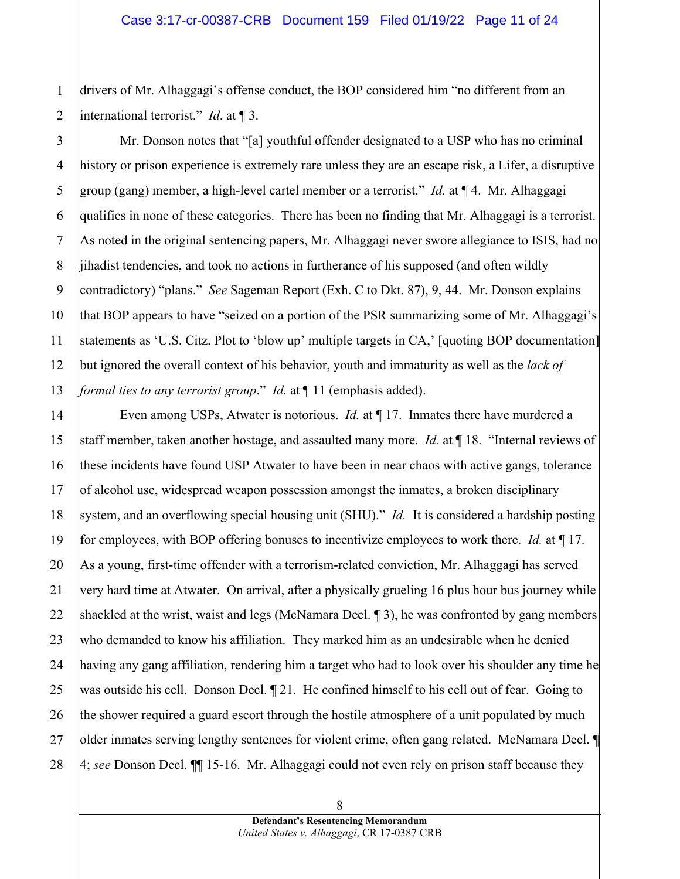drivers of Mr. Alhaggagi's offense conduct, the BOP considered him "no different from an international terrorist." *Id*. at ¶ 3.

Mr. Donson notes that "[a] youthful offender designated to a USP who has no criminal history or prison experience is extremely rare unless they are an escape risk, a Lifer, a disruptive group (gang) member, a high-level cartel member or a terrorist." *Id.* at ¶ 4. Mr. Alhaggagi qualifies in none of these categories. There has been no finding that Mr. Alhaggagi is a terrorist. As noted in the original sentencing papers, Mr. Alhaggagi never swore allegiance to ISIS, had no jihadist tendencies, and took no actions in furtherance of his supposed (and often wildly contradictory) "plans." *See* Sageman Report (Exh. C to Dkt. 87), 9, 44. Mr. Donson explains that BOP appears to have "seized on a portion of the PSR summarizing some of Mr. Alhaggagi's statements as 'U.S. Citz. Plot to 'blow up' multiple targets in CA,' [quoting BOP documentation] but ignored the overall context of his behavior, youth and immaturity as well as the *lack of formal ties to any terrorist group.*" *Id.* at  $\P$  11 (emphasis added).

Even among USPs, Atwater is notorious. *Id.* at ¶ 17. Inmates there have murdered a staff member, taken another hostage, and assaulted many more. *Id.* at ¶ 18. "Internal reviews of these incidents have found USP Atwater to have been in near chaos with active gangs, tolerance of alcohol use, widespread weapon possession amongst the inmates, a broken disciplinary system, and an overflowing special housing unit (SHU)." *Id.* It is considered a hardship posting for employees, with BOP offering bonuses to incentivize employees to work there. *Id.* at ¶ 17. As a young, first-time offender with a terrorism-related conviction, Mr. Alhaggagi has served very hard time at Atwater. On arrival, after a physically grueling 16 plus hour bus journey while shackled at the wrist, waist and legs (McNamara Decl. ¶ 3), he was confronted by gang members who demanded to know his affiliation. They marked him as an undesirable when he denied having any gang affiliation, rendering him a target who had to look over his shoulder any time he was outside his cell. Donson Decl. ¶ 21. He confined himself to his cell out of fear. Going to the shower required a guard escort through the hostile atmosphere of a unit populated by much older inmates serving lengthy sentences for violent crime, often gang related. McNamara Decl. ¶ 4; *see* Donson Decl. ¶¶ 15-16. Mr. Alhaggagi could not even rely on prison staff because they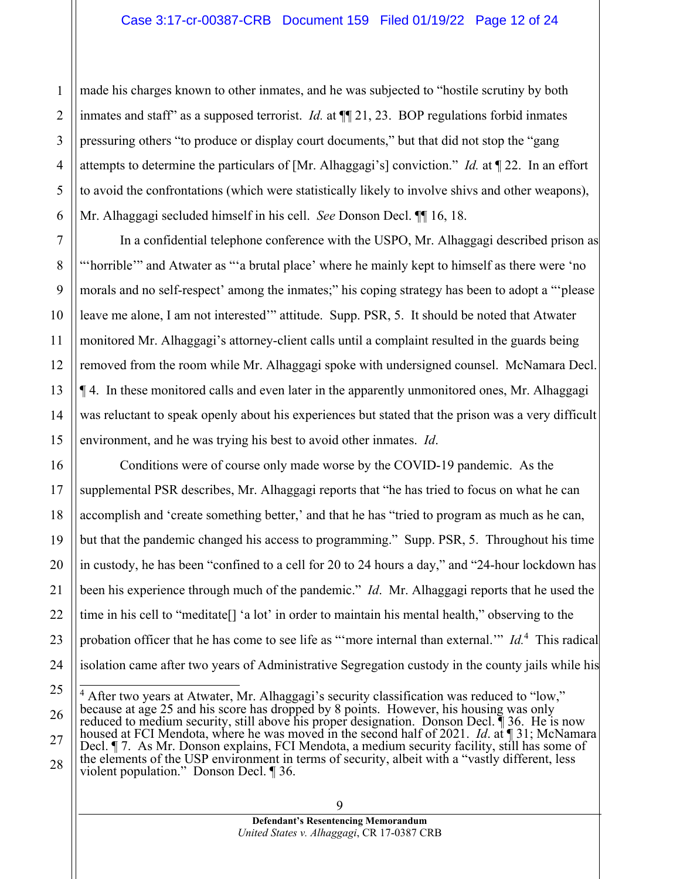made his charges known to other inmates, and he was subjected to "hostile scrutiny by both inmates and staff" as a supposed terrorist. *Id.* at ¶¶ 21, 23. BOP regulations forbid inmates pressuring others "to produce or display court documents," but that did not stop the "gang attempts to determine the particulars of [Mr. Alhaggagi's] conviction." *Id.* at ¶ 22. In an effort to avoid the confrontations (which were statistically likely to involve shivs and other weapons), Mr. Alhaggagi secluded himself in his cell. *See* Donson Decl. ¶¶ 16, 18.

1

2

3

4

5

6

7

8

9

10

11

12

13

14

15

16

17

18

19

20

21

22

23

24

25

26

In a confidential telephone conference with the USPO, Mr. Alhaggagi described prison as "'horrible'" and Atwater as "'a brutal place' where he mainly kept to himself as there were 'no morals and no self-respect' among the inmates;" his coping strategy has been to adopt a "'please leave me alone, I am not interested'" attitude. Supp. PSR, 5. It should be noted that Atwater monitored Mr. Alhaggagi's attorney-client calls until a complaint resulted in the guards being removed from the room while Mr. Alhaggagi spoke with undersigned counsel. McNamara Decl. ¶ 4. In these monitored calls and even later in the apparently unmonitored ones, Mr. Alhaggagi was reluctant to speak openly about his experiences but stated that the prison was a very difficult environment, and he was trying his best to avoid other inmates. *Id*.

Conditions were of course only made worse by the COVID-19 pandemic. As the supplemental PSR describes, Mr. Alhaggagi reports that "he has tried to focus on what he can accomplish and 'create something better,' and that he has "tried to program as much as he can, but that the pandemic changed his access to programming." Supp. PSR, 5. Throughout his time in custody, he has been "confined to a cell for 20 to 24 hours a day," and "24-hour lockdown has been his experience through much of the pandemic." *Id*. Mr. Alhaggagi reports that he used the time in his cell to "meditate[] 'a lot' in order to maintain his mental health," observing to the probation officer that he has come to see life as "more internal than external." Id.<sup>4</sup> This radical isolation came after two years of Administrative Segregation custody in the county jails while his

<sup>&</sup>lt;sup>4</sup> After two years at Atwater, Mr. Alhaggagi's security classification was reduced to "low," because at age 25 and his score has dropped by 8 points. However, his housing was only reduced to medium security, still above his proper designation. Donson Decl. ¶ 36. He is now housed at FCI Mendota, where he was moved in the second half of 2021. *Id.* at **[31;** McNamara]

<sup>27</sup> 28 Decl. ¶ 7. As Mr. Donson explains, FCI Mendota, a medium security facility, still has some of the elements of the USP environment in terms of security, albeit with a "vastly different, less violent population." Donson Decl. ¶ 36.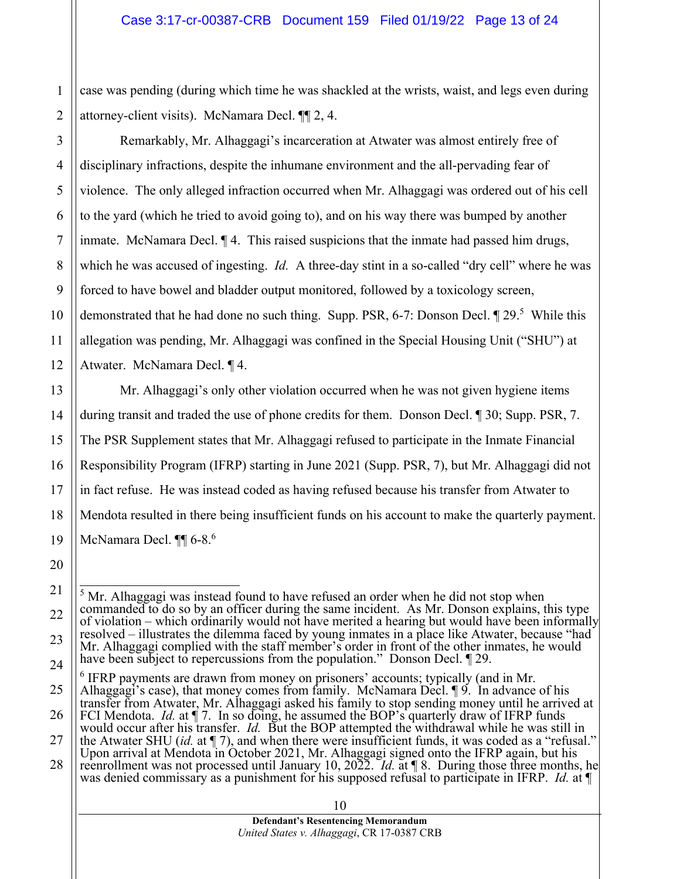case was pending (during which time he was shackled at the wrists, waist, and legs even during attorney-client visits). McNamara Decl. ¶¶ 2, 4.

Remarkably, Mr. Alhaggagi's incarceration at Atwater was almost entirely free of disciplinary infractions, despite the inhumane environment and the all-pervading fear of violence. The only alleged infraction occurred when Mr. Alhaggagi was ordered out of his cell to the yard (which he tried to avoid going to), and on his way there was bumped by another inmate. McNamara Decl. ¶ 4. This raised suspicions that the inmate had passed him drugs, which he was accused of ingesting. *Id.* A three-day stint in a so-called "dry cell" where he was forced to have bowel and bladder output monitored, followed by a toxicology screen, demonstrated that he had done no such thing. Supp. PSR, 6-7: Donson Decl. 1 29.<sup>5</sup> While this allegation was pending, Mr. Alhaggagi was confined in the Special Housing Unit ("SHU") at Atwater. McNamara Decl. ¶ 4.

 Mr. Alhaggagi's only other violation occurred when he was not given hygiene items during transit and traded the use of phone credits for them. Donson Decl. ¶ 30; Supp. PSR, 7. The PSR Supplement states that Mr. Alhaggagi refused to participate in the Inmate Financial Responsibility Program (IFRP) starting in June 2021 (Supp. PSR, 7), but Mr. Alhaggagi did not in fact refuse. He was instead coded as having refused because his transfer from Atwater to Mendota resulted in there being insufficient funds on his account to make the quarterly payment. McNamara Decl.  $\P\P$  6-8.<sup>6</sup>

 $<sup>5</sup>$  Mr. Alhaggagi was instead found to have refused an order when he did not stop when</sup> commanded to do so by an officer during the same incident. As Mr. Donson explains, this type of violation – which ordinarily would not have merited a hearing but would have been informally resolved – illustrates the dilemma faced by young inmates in a place like Atwater, because "had Mr. Alhaggagi complied with the staff member's order in front of the other inmates, he would have been subject to repercussions from the population." Donson Decl. 1 29.

<sup>&</sup>lt;sup>6</sup> IFRP payments are drawn from money on prisoners' accounts; typically (and in Mr. Alhaggagi's case), that money comes from family. McNamara Decl. 19. In advance of his transfer from Atwater, Mr. Alhaggagi asked his family to stop sending money until he arrived at

FCI Mendota. *Id.* at  $\oint$  7. In so doing, he assumed the BOP's quarterly draw of IFRP funds would occur after his transfer. *Id.* But the BOP attempted the withdrawal while he was still in the Atwater SHU (*id.* at ¶ 7), and when there were insufficient funds, it was coded as a "refusal."

Upon arrival at Mendota in October 2021, Mr. Alhaggagi signed onto the IFRP again, but his reenrollment was not processed until January 10, 2022. *Id.* at ¶ 8. During those three months, he

was denied commissary as a punishment for his supposed refusal to participate in IFRP. *Id.* at ¶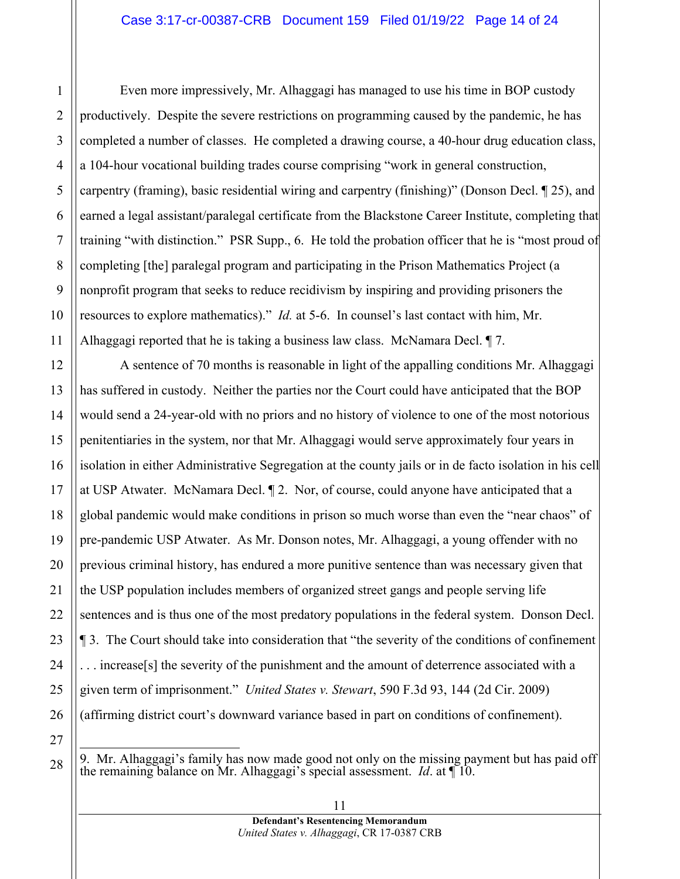Even more impressively, Mr. Alhaggagi has managed to use his time in BOP custody productively. Despite the severe restrictions on programming caused by the pandemic, he has completed a number of classes. He completed a drawing course, a 40-hour drug education class, a 104-hour vocational building trades course comprising "work in general construction, carpentry (framing), basic residential wiring and carpentry (finishing)" (Donson Decl. ¶ 25), and earned a legal assistant/paralegal certificate from the Blackstone Career Institute, completing that training "with distinction." PSR Supp., 6. He told the probation officer that he is "most proud of completing [the] paralegal program and participating in the Prison Mathematics Project (a nonprofit program that seeks to reduce recidivism by inspiring and providing prisoners the resources to explore mathematics)." *Id.* at 5-6. In counsel's last contact with him, Mr. Alhaggagi reported that he is taking a business law class. McNamara Decl. ¶ 7.

A sentence of 70 months is reasonable in light of the appalling conditions Mr. Alhaggagi has suffered in custody. Neither the parties nor the Court could have anticipated that the BOP would send a 24-year-old with no priors and no history of violence to one of the most notorious penitentiaries in the system, nor that Mr. Alhaggagi would serve approximately four years in isolation in either Administrative Segregation at the county jails or in de facto isolation in his cell at USP Atwater. McNamara Decl. ¶ 2. Nor, of course, could anyone have anticipated that a global pandemic would make conditions in prison so much worse than even the "near chaos" of pre-pandemic USP Atwater. As Mr. Donson notes, Mr. Alhaggagi, a young offender with no previous criminal history, has endured a more punitive sentence than was necessary given that the USP population includes members of organized street gangs and people serving life sentences and is thus one of the most predatory populations in the federal system. Donson Decl. ¶ 3. The Court should take into consideration that "the severity of the conditions of confinement . . . increase[s] the severity of the punishment and the amount of deterrence associated with a given term of imprisonment." *United States v. Stewart*, 590 F.3d 93, 144 (2d Cir. 2009) (affirming district court's downward variance based in part on conditions of confinement).

1

2

3

4

5

9. Mr. Alhaggagi's family has now made good not only on the missing payment but has paid off the remaining balance on Mr. Alhaggagi's special assessment. *Id*. at ¶ 10.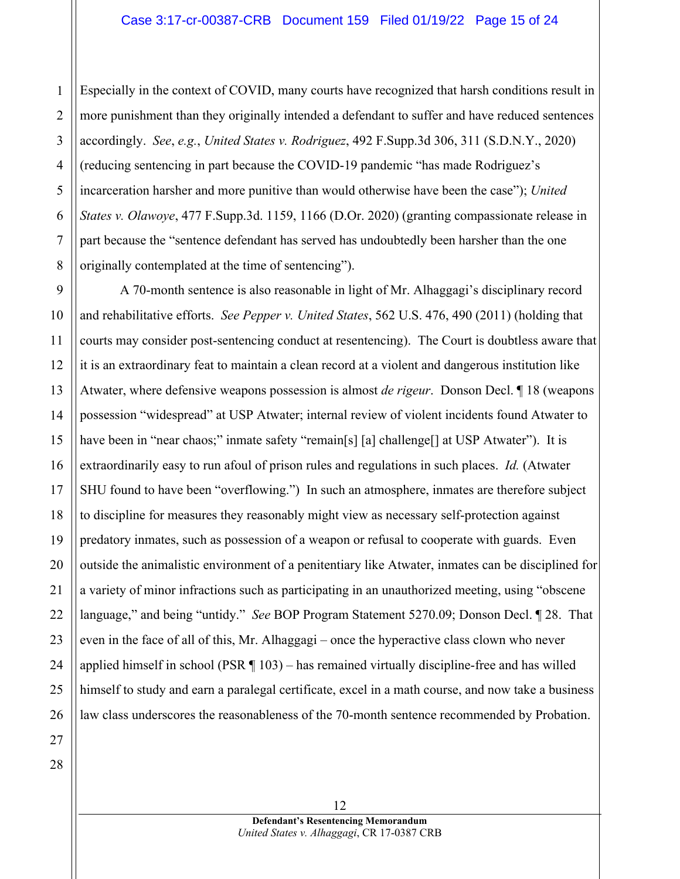1 2 3 Especially in the context of COVID, many courts have recognized that harsh conditions result in more punishment than they originally intended a defendant to suffer and have reduced sentences accordingly. *See*, *e.g.*, *United States v. Rodriguez*, 492 F.Supp.3d 306, 311 (S.D.N.Y., 2020) (reducing sentencing in part because the COVID-19 pandemic "has made Rodriguez's incarceration harsher and more punitive than would otherwise have been the case"); *United States v. Olawoye*, 477 F.Supp.3d. 1159, 1166 (D.Or. 2020) (granting compassionate release in part because the "sentence defendant has served has undoubtedly been harsher than the one originally contemplated at the time of sentencing").

A 70-month sentence is also reasonable in light of Mr. Alhaggagi's disciplinary record and rehabilitative efforts. *See Pepper v. United States*, 562 U.S. 476, 490 (2011) (holding that courts may consider post-sentencing conduct at resentencing). The Court is doubtless aware that it is an extraordinary feat to maintain a clean record at a violent and dangerous institution like Atwater, where defensive weapons possession is almost *de rigeur*. Donson Decl. ¶ 18 (weapons possession "widespread" at USP Atwater; internal review of violent incidents found Atwater to have been in "near chaos;" inmate safety "remain[s] [a] challenge[] at USP Atwater"). It is extraordinarily easy to run afoul of prison rules and regulations in such places. *Id.* (Atwater SHU found to have been "overflowing.") In such an atmosphere, inmates are therefore subject to discipline for measures they reasonably might view as necessary self-protection against predatory inmates, such as possession of a weapon or refusal to cooperate with guards. Even outside the animalistic environment of a penitentiary like Atwater, inmates can be disciplined for a variety of minor infractions such as participating in an unauthorized meeting, using "obscene language," and being "untidy." *See* BOP Program Statement 5270.09; Donson Decl. ¶ 28. That even in the face of all of this, Mr. Alhaggagi – once the hyperactive class clown who never applied himself in school (PSR ¶ 103) – has remained virtually discipline-free and has willed himself to study and earn a paralegal certificate, excel in a math course, and now take a business law class underscores the reasonableness of the 70-month sentence recommended by Probation.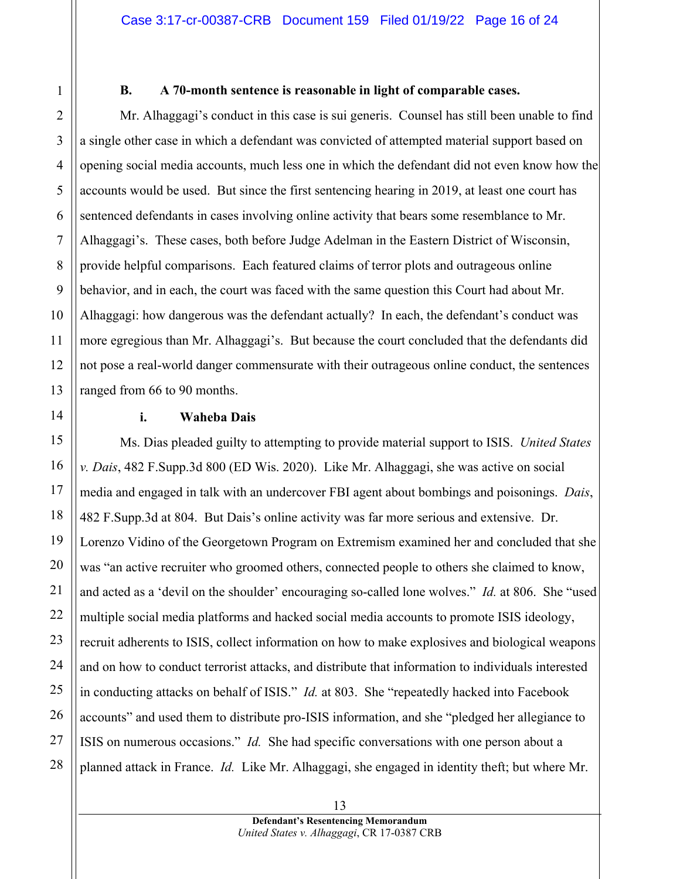#### **B. A 70-month sentence is reasonable in light of comparable cases.**

Mr. Alhaggagi's conduct in this case is sui generis. Counsel has still been unable to find a single other case in which a defendant was convicted of attempted material support based on opening social media accounts, much less one in which the defendant did not even know how the accounts would be used. But since the first sentencing hearing in 2019, at least one court has sentenced defendants in cases involving online activity that bears some resemblance to Mr. Alhaggagi's. These cases, both before Judge Adelman in the Eastern District of Wisconsin, provide helpful comparisons. Each featured claims of terror plots and outrageous online behavior, and in each, the court was faced with the same question this Court had about Mr. Alhaggagi: how dangerous was the defendant actually? In each, the defendant's conduct was more egregious than Mr. Alhaggagi's. But because the court concluded that the defendants did not pose a real-world danger commensurate with their outrageous online conduct, the sentences ranged from 66 to 90 months.

#### **i. Waheba Dais**

Ms. Dias pleaded guilty to attempting to provide material support to ISIS. *United States v. Dais*, 482 F.Supp.3d 800 (ED Wis. 2020). Like Mr. Alhaggagi, she was active on social media and engaged in talk with an undercover FBI agent about bombings and poisonings. *Dais*, 482 F.Supp.3d at 804. But Dais's online activity was far more serious and extensive. Dr. Lorenzo Vidino of the Georgetown Program on Extremism examined her and concluded that she was "an active recruiter who groomed others, connected people to others she claimed to know, and acted as a 'devil on the shoulder' encouraging so-called lone wolves." *Id.* at 806. She "used multiple social media platforms and hacked social media accounts to promote ISIS ideology, recruit adherents to ISIS, collect information on how to make explosives and biological weapons and on how to conduct terrorist attacks, and distribute that information to individuals interested in conducting attacks on behalf of ISIS." *Id.* at 803. She "repeatedly hacked into Facebook accounts" and used them to distribute pro-ISIS information, and she "pledged her allegiance to ISIS on numerous occasions." *Id.* She had specific conversations with one person about a planned attack in France. *Id.* Like Mr. Alhaggagi, she engaged in identity theft; but where Mr.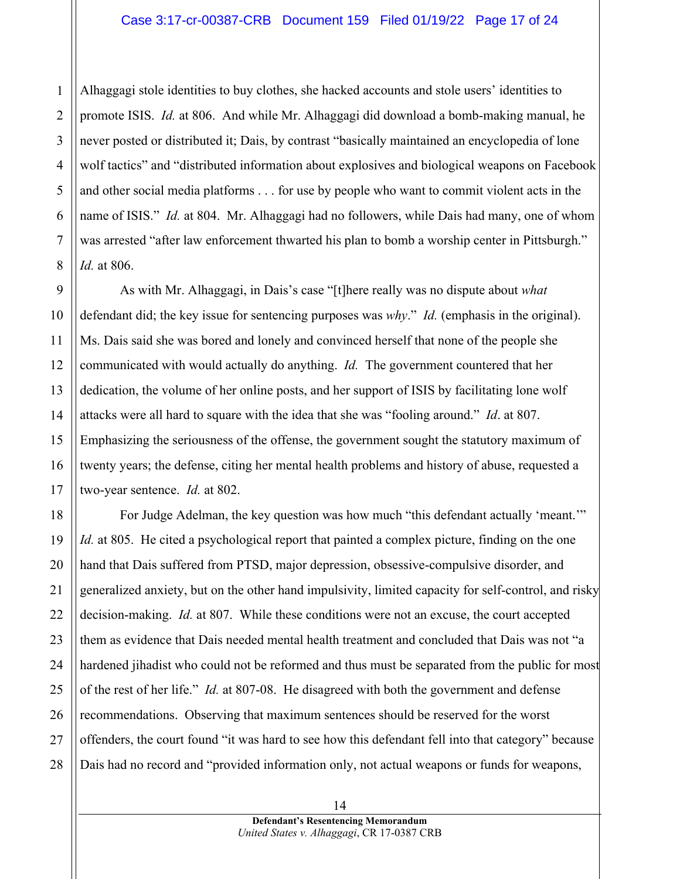#### Case 3:17-cr-00387-CRB Document 159 Filed 01/19/22 Page 17 of 24

Alhaggagi stole identities to buy clothes, she hacked accounts and stole users' identities to promote ISIS. *Id.* at 806. And while Mr. Alhaggagi did download a bomb-making manual, he never posted or distributed it; Dais, by contrast "basically maintained an encyclopedia of lone wolf tactics" and "distributed information about explosives and biological weapons on Facebook and other social media platforms . . . for use by people who want to commit violent acts in the name of ISIS." *Id.* at 804. Mr. Alhaggagi had no followers, while Dais had many, one of whom was arrested "after law enforcement thwarted his plan to bomb a worship center in Pittsburgh." *Id.* at 806.

As with Mr. Alhaggagi, in Dais's case "[t]here really was no dispute about *what* defendant did; the key issue for sentencing purposes was *why*." *Id.* (emphasis in the original). Ms. Dais said she was bored and lonely and convinced herself that none of the people she communicated with would actually do anything. *Id.* The government countered that her dedication, the volume of her online posts, and her support of ISIS by facilitating lone wolf attacks were all hard to square with the idea that she was "fooling around." *Id*. at 807. Emphasizing the seriousness of the offense, the government sought the statutory maximum of twenty years; the defense, citing her mental health problems and history of abuse, requested a two-year sentence. *Id.* at 802.

For Judge Adelman, the key question was how much "this defendant actually 'meant.'" *Id.* at 805. He cited a psychological report that painted a complex picture, finding on the one hand that Dais suffered from PTSD, major depression, obsessive-compulsive disorder, and generalized anxiety, but on the other hand impulsivity, limited capacity for self-control, and risky decision-making. *Id.* at 807. While these conditions were not an excuse, the court accepted them as evidence that Dais needed mental health treatment and concluded that Dais was not "a hardened jihadist who could not be reformed and thus must be separated from the public for most of the rest of her life." *Id.* at 807-08. He disagreed with both the government and defense recommendations. Observing that maximum sentences should be reserved for the worst offenders, the court found "it was hard to see how this defendant fell into that category" because Dais had no record and "provided information only, not actual weapons or funds for weapons,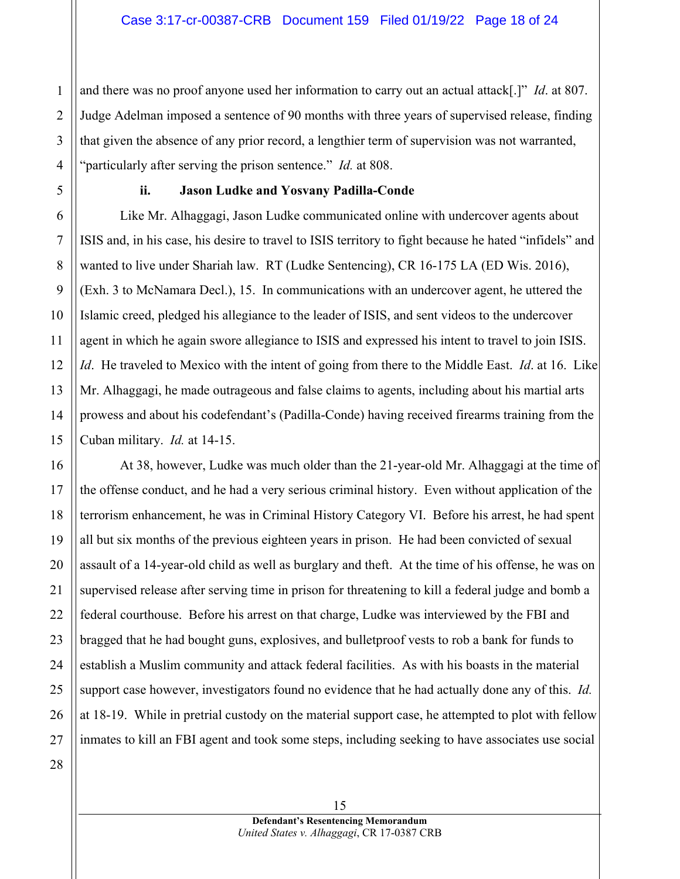and there was no proof anyone used her information to carry out an actual attack[.]" *Id*. at 807. Judge Adelman imposed a sentence of 90 months with three years of supervised release, finding that given the absence of any prior record, a lengthier term of supervision was not warranted, "particularly after serving the prison sentence." *Id.* at 808.

#### **ii. Jason Ludke and Yosvany Padilla-Conde**

Like Mr. Alhaggagi, Jason Ludke communicated online with undercover agents about ISIS and, in his case, his desire to travel to ISIS territory to fight because he hated "infidels" and wanted to live under Shariah law. RT (Ludke Sentencing), CR 16-175 LA (ED Wis. 2016), (Exh. 3 to McNamara Decl.), 15. In communications with an undercover agent, he uttered the Islamic creed, pledged his allegiance to the leader of ISIS, and sent videos to the undercover agent in which he again swore allegiance to ISIS and expressed his intent to travel to join ISIS. *Id*. He traveled to Mexico with the intent of going from there to the Middle East. *Id*. at 16. Like Mr. Alhaggagi, he made outrageous and false claims to agents, including about his martial arts prowess and about his codefendant's (Padilla-Conde) having received firearms training from the Cuban military. *Id.* at 14-15.

At 38, however, Ludke was much older than the 21-year-old Mr. Alhaggagi at the time of the offense conduct, and he had a very serious criminal history. Even without application of the terrorism enhancement, he was in Criminal History Category VI. Before his arrest, he had spent all but six months of the previous eighteen years in prison. He had been convicted of sexual assault of a 14-year-old child as well as burglary and theft. At the time of his offense, he was on supervised release after serving time in prison for threatening to kill a federal judge and bomb a federal courthouse. Before his arrest on that charge, Ludke was interviewed by the FBI and bragged that he had bought guns, explosives, and bulletproof vests to rob a bank for funds to establish a Muslim community and attack federal facilities. As with his boasts in the material support case however, investigators found no evidence that he had actually done any of this. *Id.*  at 18-19.While in pretrial custody on the material support case, he attempted to plot with fellow inmates to kill an FBI agent and took some steps, including seeking to have associates use social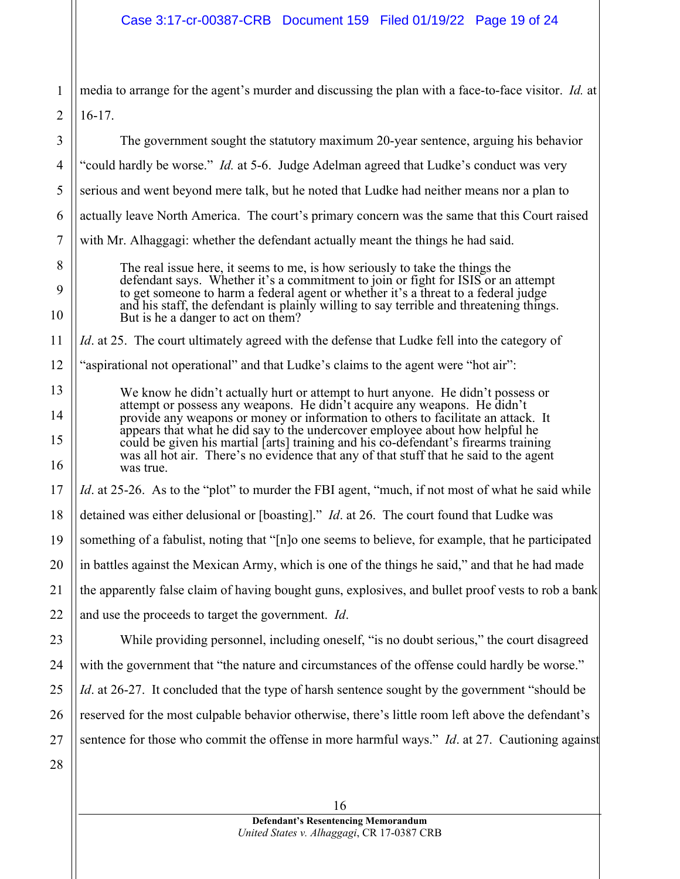# Case 3:17-cr-00387-CRB Document 159 Filed 01/19/22 Page 19 of 24

| 1              | media to arrange for the agent's murder and discussing the plan with a face-to-face visitor. Id. at                                                                                                                                                                                                                                                |  |  |  |
|----------------|----------------------------------------------------------------------------------------------------------------------------------------------------------------------------------------------------------------------------------------------------------------------------------------------------------------------------------------------------|--|--|--|
| $\overline{2}$ | $16-17.$                                                                                                                                                                                                                                                                                                                                           |  |  |  |
| 3              | The government sought the statutory maximum 20-year sentence, arguing his behavior                                                                                                                                                                                                                                                                 |  |  |  |
| $\overline{4}$ | "could hardly be worse." <i>Id.</i> at 5-6. Judge Adelman agreed that Ludke's conduct was very                                                                                                                                                                                                                                                     |  |  |  |
| 5              | serious and went beyond mere talk, but he noted that Ludke had neither means nor a plan to                                                                                                                                                                                                                                                         |  |  |  |
| 6              | actually leave North America. The court's primary concern was the same that this Court raised                                                                                                                                                                                                                                                      |  |  |  |
| $\tau$         | with Mr. Alhaggagi: whether the defendant actually meant the things he had said.                                                                                                                                                                                                                                                                   |  |  |  |
| 8<br>9<br>10   | The real issue here, it seems to me, is how seriously to take the things the<br>defendant says. Whether it's a commitment to join or fight for ISIS or an attempt<br>to get someone to harm a federal agent or whether it's a threat to a federal judge<br>and his staff, the defendant is plainly willing to say terrible and threatening things. |  |  |  |
| 11             | But is he a danger to act on them?<br><i>Id.</i> at 25. The court ultimately agreed with the defense that Ludke fell into the category of                                                                                                                                                                                                          |  |  |  |
| 12             | "aspirational not operational" and that Ludke's claims to the agent were "hot air":                                                                                                                                                                                                                                                                |  |  |  |
| 13             |                                                                                                                                                                                                                                                                                                                                                    |  |  |  |
| 14             | We know he didn't actually hurt or attempt to hurt anyone. He didn't possess or<br>attempt or possess any weapons. He didn't acquire any weapons. He didn't                                                                                                                                                                                        |  |  |  |
| 15             | provide any weapons or money or information to others to facilitate an attack. It<br>appears that what he did say to the undercover employee about how helpful he<br>could be given his martial [arts] training and his co-defendant's firearms training                                                                                           |  |  |  |
| 16             | was all hot air. There's no evidence that any of that stuff that he said to the agent<br>was true.                                                                                                                                                                                                                                                 |  |  |  |
| 17             | <i>Id.</i> at 25-26. As to the "plot" to murder the FBI agent, "much, if not most of what he said while                                                                                                                                                                                                                                            |  |  |  |
| 18             | detained was either delusional or [boasting]." <i>Id.</i> at 26. The court found that Ludke was                                                                                                                                                                                                                                                    |  |  |  |
| 19             | something of a fabulist, noting that "[n]o one seems to believe, for example, that he participated                                                                                                                                                                                                                                                 |  |  |  |
| 20             | in battles against the Mexican Army, which is one of the things he said," and that he had made                                                                                                                                                                                                                                                     |  |  |  |
| 21             | the apparently false claim of having bought guns, explosives, and bullet proof vests to rob a bank                                                                                                                                                                                                                                                 |  |  |  |
| 22             | and use the proceeds to target the government. <i>Id</i> .                                                                                                                                                                                                                                                                                         |  |  |  |
| 23             | While providing personnel, including oneself, "is no doubt serious," the court disagreed                                                                                                                                                                                                                                                           |  |  |  |
| 24             | with the government that "the nature and circumstances of the offense could hardly be worse."                                                                                                                                                                                                                                                      |  |  |  |
| 25             | <i>Id.</i> at 26-27. It concluded that the type of harsh sentence sought by the government "should be                                                                                                                                                                                                                                              |  |  |  |
| 26             | reserved for the most culpable behavior otherwise, there's little room left above the defendant's                                                                                                                                                                                                                                                  |  |  |  |
| 27             | sentence for those who commit the offense in more harmful ways." Id. at 27. Cautioning against                                                                                                                                                                                                                                                     |  |  |  |
| 28             |                                                                                                                                                                                                                                                                                                                                                    |  |  |  |
|                | 16                                                                                                                                                                                                                                                                                                                                                 |  |  |  |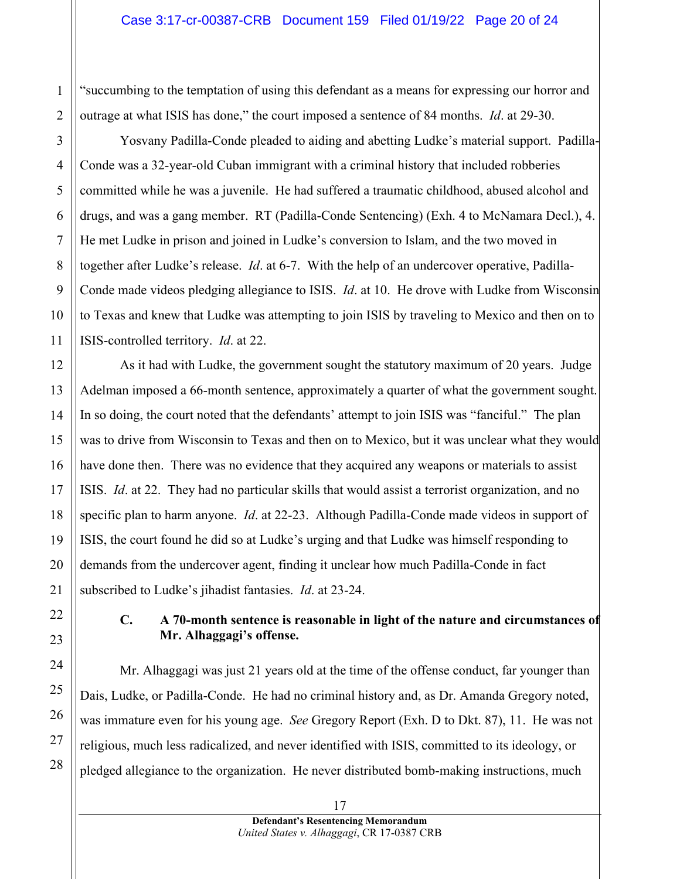"succumbing to the temptation of using this defendant as a means for expressing our horror and outrage at what ISIS has done," the court imposed a sentence of 84 months. *Id*. at 29-30.

Yosvany Padilla-Conde pleaded to aiding and abetting Ludke's material support. Padilla-Conde was a 32-year-old Cuban immigrant with a criminal history that included robberies committed while he was a juvenile. He had suffered a traumatic childhood, abused alcohol and drugs, and was a gang member. RT (Padilla-Conde Sentencing) (Exh. 4 to McNamara Decl.), 4. He met Ludke in prison and joined in Ludke's conversion to Islam, and the two moved in together after Ludke's release. *Id*. at 6-7. With the help of an undercover operative, Padilla-Conde made videos pledging allegiance to ISIS. *Id*. at 10. He drove with Ludke from Wisconsin to Texas and knew that Ludke was attempting to join ISIS by traveling to Mexico and then on to ISIS-controlled territory. *Id*. at 22.

As it had with Ludke, the government sought the statutory maximum of 20 years. Judge Adelman imposed a 66-month sentence, approximately a quarter of what the government sought. In so doing, the court noted that the defendants' attempt to join ISIS was "fanciful." The plan was to drive from Wisconsin to Texas and then on to Mexico, but it was unclear what they would have done then. There was no evidence that they acquired any weapons or materials to assist ISIS. *Id*. at 22. They had no particular skills that would assist a terrorist organization, and no specific plan to harm anyone. *Id*. at 22-23. Although Padilla-Conde made videos in support of ISIS, the court found he did so at Ludke's urging and that Ludke was himself responding to demands from the undercover agent, finding it unclear how much Padilla-Conde in fact subscribed to Ludke's jihadist fantasies. *Id*. at 23-24.

## **C. A 70-month sentence is reasonable in light of the nature and circumstances of Mr. Alhaggagi's offense.**

Mr. Alhaggagi was just 21 years old at the time of the offense conduct, far younger than Dais, Ludke, or Padilla-Conde. He had no criminal history and, as Dr. Amanda Gregory noted, was immature even for his young age. *See* Gregory Report (Exh. D to Dkt. 87), 11. He was not religious, much less radicalized, and never identified with ISIS, committed to its ideology, or pledged allegiance to the organization. He never distributed bomb-making instructions, much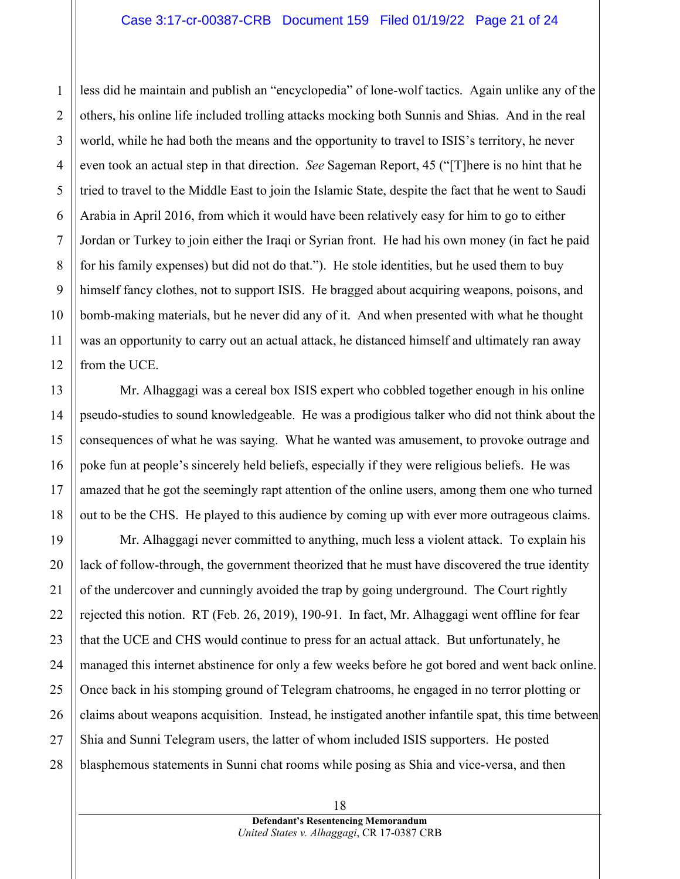less did he maintain and publish an "encyclopedia" of lone-wolf tactics. Again unlike any of the others, his online life included trolling attacks mocking both Sunnis and Shias. And in the real world, while he had both the means and the opportunity to travel to ISIS's territory, he never even took an actual step in that direction. *See* Sageman Report, 45 ("[T]here is no hint that he tried to travel to the Middle East to join the Islamic State, despite the fact that he went to Saudi Arabia in April 2016, from which it would have been relatively easy for him to go to either Jordan or Turkey to join either the Iraqi or Syrian front. He had his own money (in fact he paid for his family expenses) but did not do that."). He stole identities, but he used them to buy himself fancy clothes, not to support ISIS. He bragged about acquiring weapons, poisons, and bomb-making materials, but he never did any of it. And when presented with what he thought was an opportunity to carry out an actual attack, he distanced himself and ultimately ran away from the UCE.

Mr. Alhaggagi was a cereal box ISIS expert who cobbled together enough in his online pseudo-studies to sound knowledgeable. He was a prodigious talker who did not think about the consequences of what he was saying. What he wanted was amusement, to provoke outrage and poke fun at people's sincerely held beliefs, especially if they were religious beliefs. He was amazed that he got the seemingly rapt attention of the online users, among them one who turned out to be the CHS. He played to this audience by coming up with ever more outrageous claims.

Mr. Alhaggagi never committed to anything, much less a violent attack. To explain his lack of follow-through, the government theorized that he must have discovered the true identity of the undercover and cunningly avoided the trap by going underground. The Court rightly rejected this notion. RT (Feb. 26, 2019), 190-91. In fact, Mr. Alhaggagi went offline for fear that the UCE and CHS would continue to press for an actual attack. But unfortunately, he managed this internet abstinence for only a few weeks before he got bored and went back online. Once back in his stomping ground of Telegram chatrooms, he engaged in no terror plotting or claims about weapons acquisition. Instead, he instigated another infantile spat, this time between Shia and Sunni Telegram users, the latter of whom included ISIS supporters. He posted blasphemous statements in Sunni chat rooms while posing as Shia and vice-versa, and then

1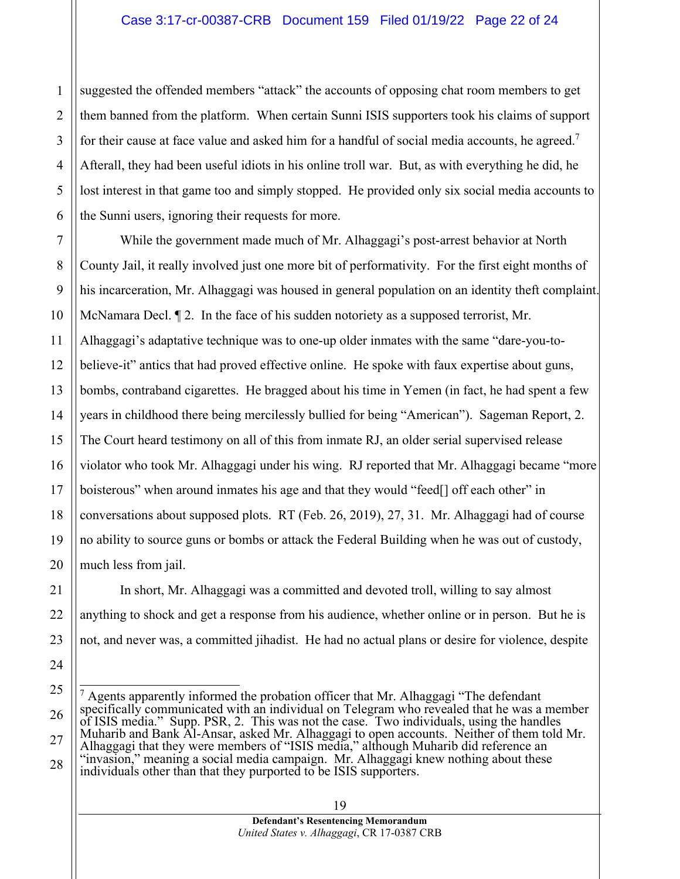suggested the offended members "attack" the accounts of opposing chat room members to get them banned from the platform. When certain Sunni ISIS supporters took his claims of support for their cause at face value and asked him for a handful of social media accounts, he agreed.<sup>7</sup> Afterall, they had been useful idiots in his online troll war. But, as with everything he did, he lost interest in that game too and simply stopped. He provided only six social media accounts to the Sunni users, ignoring their requests for more.

While the government made much of Mr. Alhaggagi's post-arrest behavior at North County Jail, it really involved just one more bit of performativity. For the first eight months of his incarceration, Mr. Alhaggagi was housed in general population on an identity theft complaint. McNamara Decl. ¶ 2. In the face of his sudden notoriety as a supposed terrorist, Mr. Alhaggagi's adaptative technique was to one-up older inmates with the same "dare-you-tobelieve-it" antics that had proved effective online. He spoke with faux expertise about guns, bombs, contraband cigarettes. He bragged about his time in Yemen (in fact, he had spent a few years in childhood there being mercilessly bullied for being "American"). Sageman Report, 2. The Court heard testimony on all of this from inmate RJ, an older serial supervised release violator who took Mr. Alhaggagi under his wing. RJ reported that Mr. Alhaggagi became "more boisterous" when around inmates his age and that they would "feed[] off each other" in conversations about supposed plots. RT (Feb. 26, 2019), 27, 31. Mr. Alhaggagi had of course no ability to source guns or bombs or attack the Federal Building when he was out of custody, much less from jail.

In short, Mr. Alhaggagi was a committed and devoted troll, willing to say almost anything to shock and get a response from his audience, whether online or in person. But he is not, and never was, a committed jihadist. He had no actual plans or desire for violence, despite

1

2

3

4

 $7$  Agents apparently informed the probation officer that Mr. Alhaggagi "The defendant specifically communicated with an individual on Telegram who revealed that he was a member of ISIS media." Supp. PSR, 2. This was not the case. Two individuals, using the handles Muharib and Bank Al-Ansar, asked Mr. Alhaggagi to open accounts. Neither of them told Mr. Alhaggagi that they were members of "ISIS media," although Muharib did reference an "invasion," meaning a social media campaign. Mr. Alhaggagi knew nothing about these individuals other than that they purported to be ISIS supporters.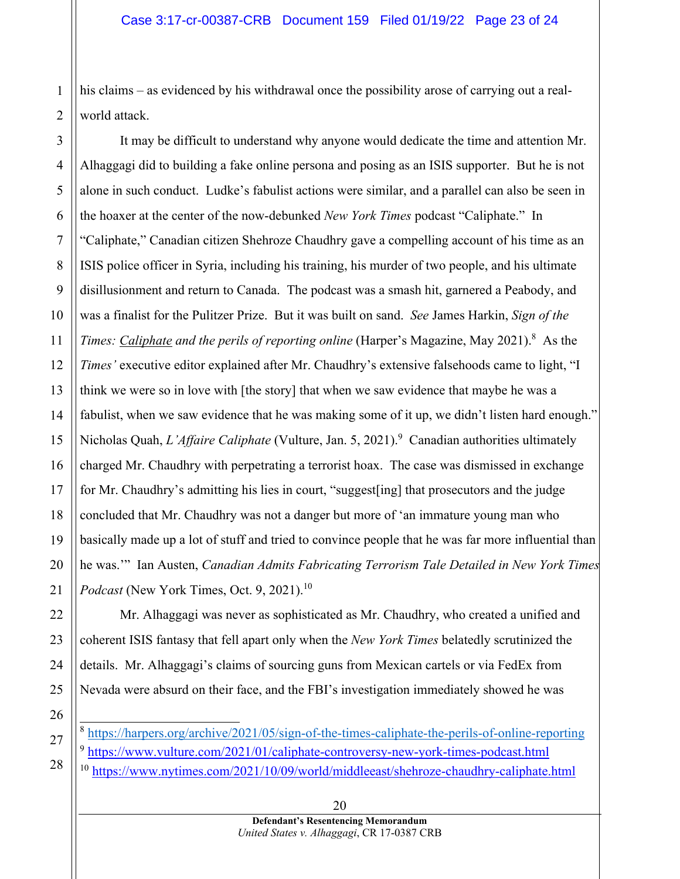his claims – as evidenced by his withdrawal once the possibility arose of carrying out a realworld attack.

It may be difficult to understand why anyone would dedicate the time and attention Mr. Alhaggagi did to building a fake online persona and posing as an ISIS supporter. But he is not alone in such conduct. Ludke's fabulist actions were similar, and a parallel can also be seen in the hoaxer at the center of the now-debunked *New York Times* podcast "Caliphate." In "Caliphate," Canadian citizen Shehroze Chaudhry gave a compelling account of his time as an ISIS police officer in Syria, including his training, his murder of two people, and his ultimate disillusionment and return to Canada. The podcast was a smash hit, garnered a Peabody, and was a finalist for the Pulitzer Prize. But it was built on sand. *See* James Harkin, *Sign of the*  Times: Caliphate and the perils of reporting online (Harper's Magazine, May 2021).<sup>8</sup> As the *Times'* executive editor explained after Mr. Chaudhry's extensive falsehoods came to light, "I think we were so in love with [the story] that when we saw evidence that maybe he was a fabulist, when we saw evidence that he was making some of it up, we didn't listen hard enough." Nicholas Quah, *L'Affaire Caliphate* (Vulture, Jan. 5, 2021).<sup>9</sup> Canadian authorities ultimately charged Mr. Chaudhry with perpetrating a terrorist hoax. The case was dismissed in exchange for Mr. Chaudhry's admitting his lies in court, "suggest[ing] that prosecutors and the judge concluded that Mr. Chaudhry was not a danger but more of 'an immature young man who basically made up a lot of stuff and tried to convince people that he was far more influential than he was.'" Ian Austen, *Canadian Admits Fabricating Terrorism Tale Detailed in New York Times Podcast* (New York Times, Oct. 9, 2021).<sup>10</sup>

Mr. Alhaggagi was never as sophisticated as Mr. Chaudhry, who created a unified and coherent ISIS fantasy that fell apart only when the *New York Times* belatedly scrutinized the details. Mr. Alhaggagi's claims of sourcing guns from Mexican cartels or via FedEx from Nevada were absurd on their face, and the FBI's investigation immediately showed he was

- <sup>8</sup> https://harpers.org/archive/2021/05/sign-of-the-times-caliphate-the-perils-of-online-reporting <sup>9</sup> https://www.vulture.com/2021/01/caliphate-controversy-new-york-times-podcast.html
- <sup>10</sup> https://www.nytimes.com/2021/10/09/world/middleeast/shehroze-chaudhry-caliphate.html

1

2

3

4

5

6

7

8

9

10